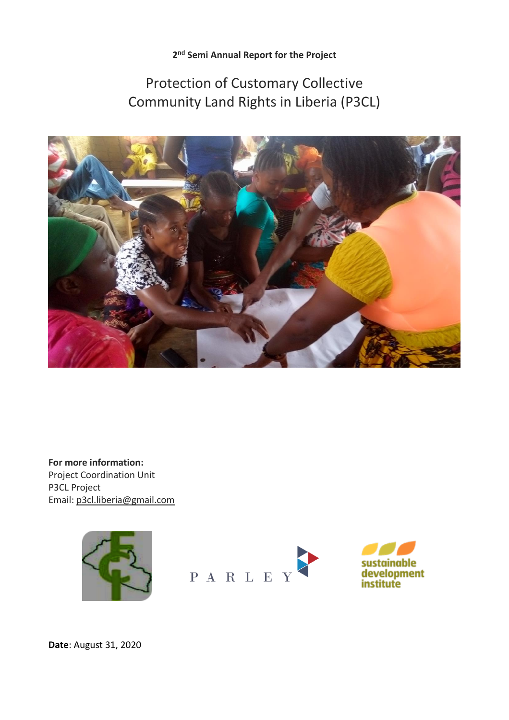**2 nd Semi Annual Report for the Project**

# Protection of Customary Collective Community Land Rights in Liberia (P3CL)



**For more information:** Project Coordination Unit P3CL Project Email: [p3cl.liberia@gmail.com](mailto:p3cl.liberia@gmail.com)





**Date**: August 31, 2020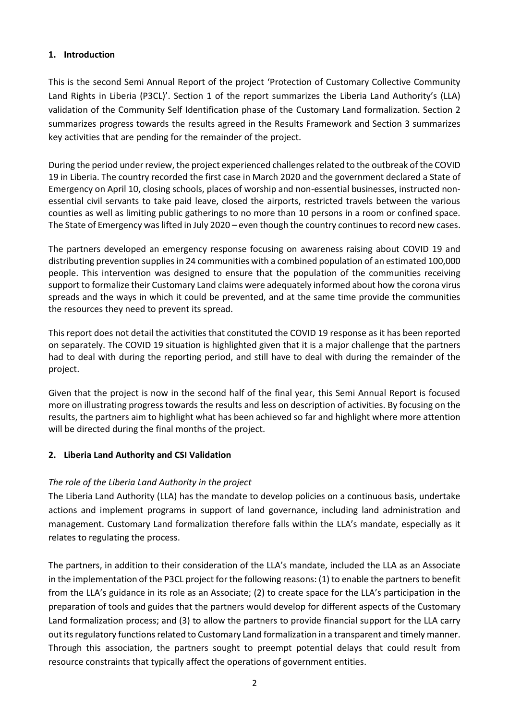# **1. Introduction**

This is the second Semi Annual Report of the project 'Protection of Customary Collective Community Land Rights in Liberia (P3CL)'. Section 1 of the report summarizes the Liberia Land Authority's (LLA) validation of the Community Self Identification phase of the Customary Land formalization. Section 2 summarizes progress towards the results agreed in the Results Framework and Section 3 summarizes key activities that are pending for the remainder of the project.

During the period under review, the project experienced challenges related to the outbreak of the COVID 19 in Liberia. The country recorded the first case in March 2020 and the government declared a State of Emergency on April 10, closing schools, places of worship and non-essential businesses, instructed nonessential civil servants to take paid leave, closed the airports, restricted travels between the various counties as well as limiting public gatherings to no more than 10 persons in a room or confined space. The State of Emergency was lifted in July 2020 – even though the country continues to record new cases.

The partners developed an emergency response focusing on awareness raising about COVID 19 and distributing prevention supplies in 24 communities with a combined population of an estimated 100,000 people. This intervention was designed to ensure that the population of the communities receiving support to formalize their Customary Land claims were adequately informed about how the corona virus spreads and the ways in which it could be prevented, and at the same time provide the communities the resources they need to prevent its spread.

This report does not detail the activities that constituted the COVID 19 response as it has been reported on separately. The COVID 19 situation is highlighted given that it is a major challenge that the partners had to deal with during the reporting period, and still have to deal with during the remainder of the project.

Given that the project is now in the second half of the final year, this Semi Annual Report is focused more on illustrating progress towards the results and less on description of activities. By focusing on the results, the partners aim to highlight what has been achieved so far and highlight where more attention will be directed during the final months of the project.

#### **2. Liberia Land Authority and CSI Validation**

# *The role of the Liberia Land Authority in the project*

The Liberia Land Authority (LLA) has the mandate to develop policies on a continuous basis, undertake actions and implement programs in support of land governance, including land administration and management. Customary Land formalization therefore falls within the LLA's mandate, especially as it relates to regulating the process.

The partners, in addition to their consideration of the LLA's mandate, included the LLA as an Associate in the implementation of the P3CL project for the following reasons: (1) to enable the partners to benefit from the LLA's guidance in its role as an Associate; (2) to create space for the LLA's participation in the preparation of tools and guides that the partners would develop for different aspects of the Customary Land formalization process; and (3) to allow the partners to provide financial support for the LLA carry out its regulatory functions related to Customary Land formalization in a transparent and timely manner. Through this association, the partners sought to preempt potential delays that could result from resource constraints that typically affect the operations of government entities.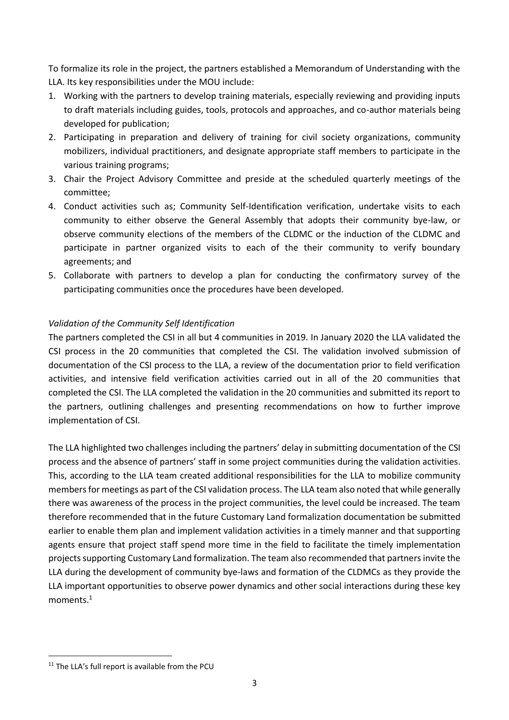To formalize its role in the project, the partners established a Memorandum of Understanding with the LLA. Its key responsibilities under the MOU include:

- 1. Working with the partners to develop training materials, especially reviewing and providing inputs to draft materials including guides, tools, protocols and approaches, and co-author materials being developed for publication;
- 2. Participating in preparation and delivery of training for civil society organizations, community mobilizers, individual practitioners, and designate appropriate staff members to participate in the various training programs;
- 3. Chair the Project Advisory Committee and preside at the scheduled quarterly meetings of the committee;
- 4. Conduct activities such as; Community Self-Identification verification, undertake visits to each community to either observe the General Assembly that adopts their community bye-law, or observe community elections of the members of the CLDMC or the induction of the CLDMC and participate in partner organized visits to each of the their community to verify boundary agreements; and
- 5. Collaborate with partners to develop a plan for conducting the confirmatory survey of the participating communities once the procedures have been developed.

# *Validation of the Community Self Identification*

The partners completed the CSI in all but 4 communities in 2019. In January 2020 the LLA validated the CSI process in the 20 communities that completed the CSI. The validation involved submission of documentation of the CSI process to the LLA, a review of the documentation prior to field verification activities, and intensive field verification activities carried out in all of the 20 communities that completed the CSI. The LLA completed the validation in the 20 communities and submitted its report to the partners, outlining challenges and presenting recommendations on how to further improve implementation of CSI.

The LLA highlighted two challenges including the partners' delay in submitting documentation of the CSI process and the absence of partners' staff in some project communities during the validation activities. This, according to the LLA team created additional responsibilities for the LLA to mobilize community members for meetings as part of the CSI validation process. The LLA team also noted that while generally there was awareness of the process in the project communities, the level could be increased. The team therefore recommended that in the future Customary Land formalization documentation be submitted earlier to enable them plan and implement validation activities in a timely manner and that supporting agents ensure that project staff spend more time in the field to facilitate the timely implementation projects supporting Customary Land formalization. The team also recommended that partners invite the LLA during the development of community bye-laws and formation of the CLDMCs as they provide the LLA important opportunities to observe power dynamics and other social interactions during these key moments. $^1$ 

 $\overline{a}$ 

<sup>&</sup>lt;sup>11</sup> The LLA's full report is available from the PCU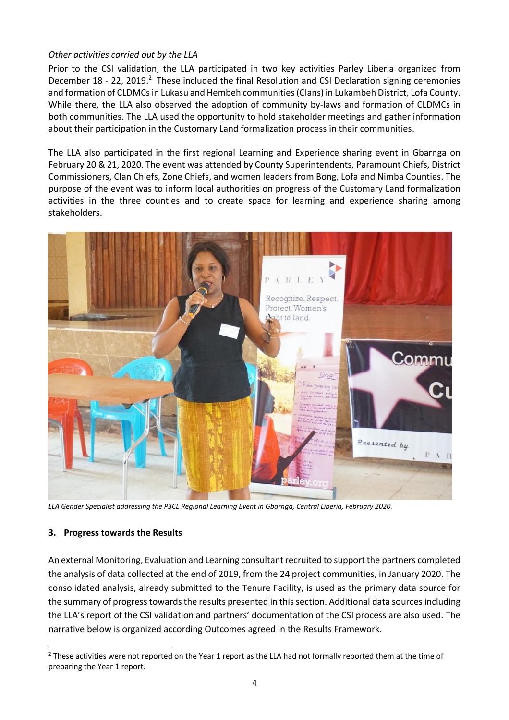# *Other activities carried out by the LLA*

Prior to the CSI validation, the LLA participated in two key activities Parley Liberia organized from December 18 - 22, 2019.<sup>2</sup> These included the final Resolution and CSI Declaration signing ceremonies and formation of CLDMCs in Lukasu and Hembeh communities (Clans) in Lukambeh District, Lofa County. While there, the LLA also observed the adoption of community by-laws and formation of CLDMCs in both communities. The LLA used the opportunity to hold stakeholder meetings and gather information about their participation in the Customary Land formalization process in their communities.

The LLA also participated in the first regional Learning and Experience sharing event in Gbarnga on February 20 & 21, 2020. The event was attended by County Superintendents, Paramount Chiefs, District Commissioners, Clan Chiefs, Zone Chiefs, and women leaders from Bong, Lofa and Nimba Counties. The purpose of the event was to inform local authorities on progress of the Customary Land formalization activities in the three counties and to create space for learning and experience sharing among stakeholders.



*LLA Gender Specialist addressing the P3CL Regional Learning Event in Gbarnga, Central Liberia, February 2020.*

#### **3. Progress towards the Results**

 $\overline{a}$ 

An external Monitoring, Evaluation and Learning consultant recruited to support the partners completed the analysis of data collected at the end of 2019, from the 24 project communities, in January 2020. The consolidated analysis, already submitted to the Tenure Facility, is used as the primary data source for the summary of progress towards the results presented in this section. Additional data sources including the LLA's report of the CSI validation and partners' documentation of the CSI process are also used. The narrative below is organized according Outcomes agreed in the Results Framework.

 $2$  These activities were not reported on the Year 1 report as the LLA had not formally reported them at the time of preparing the Year 1 report.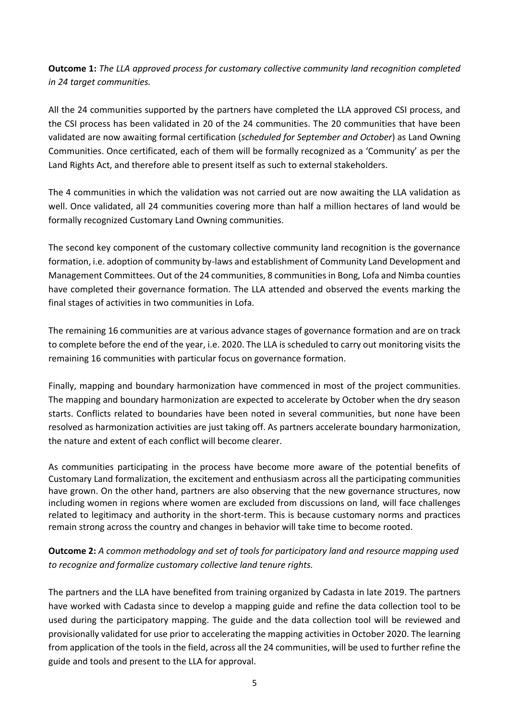**Outcome 1:** *The LLA approved process for customary collective community land recognition completed in 24 target communities.*

All the 24 communities supported by the partners have completed the LLA approved CSI process, and the CSI process has been validated in 20 of the 24 communities. The 20 communities that have been validated are now awaiting formal certification (*scheduled for September and October*) as Land Owning Communities. Once certificated, each of them will be formally recognized as a 'Community' as per the Land Rights Act, and therefore able to present itself as such to external stakeholders.

The 4 communities in which the validation was not carried out are now awaiting the LLA validation as well. Once validated, all 24 communities covering more than half a million hectares of land would be formally recognized Customary Land Owning communities.

The second key component of the customary collective community land recognition is the governance formation, i.e. adoption of community by-laws and establishment of Community Land Development and Management Committees. Out of the 24 communities, 8 communities in Bong, Lofa and Nimba counties have completed their governance formation. The LLA attended and observed the events marking the final stages of activities in two communities in Lofa.

The remaining 16 communities are at various advance stages of governance formation and are on track to complete before the end of the year, i.e. 2020. The LLA is scheduled to carry out monitoring visits the remaining 16 communities with particular focus on governance formation.

Finally, mapping and boundary harmonization have commenced in most of the project communities. The mapping and boundary harmonization are expected to accelerate by October when the dry season starts. Conflicts related to boundaries have been noted in several communities, but none have been resolved as harmonization activities are just taking off. As partners accelerate boundary harmonization, the nature and extent of each conflict will become clearer.

As communities participating in the process have become more aware of the potential benefits of Customary Land formalization, the excitement and enthusiasm across all the participating communities have grown. On the other hand, partners are also observing that the new governance structures, now including women in regions where women are excluded from discussions on land, will face challenges related to legitimacy and authority in the short-term. This is because customary norms and practices remain strong across the country and changes in behavior will take time to become rooted.

# **Outcome 2:** *A common methodology and set of tools for participatory land and resource mapping used to recognize and formalize customary collective land tenure rights.*

The partners and the LLA have benefited from training organized by Cadasta in late 2019. The partners have worked with Cadasta since to develop a mapping guide and refine the data collection tool to be used during the participatory mapping. The guide and the data collection tool will be reviewed and provisionally validated for use prior to accelerating the mapping activities in October 2020. The learning from application of the tools in the field, across all the 24 communities, will be used to further refine the guide and tools and present to the LLA for approval.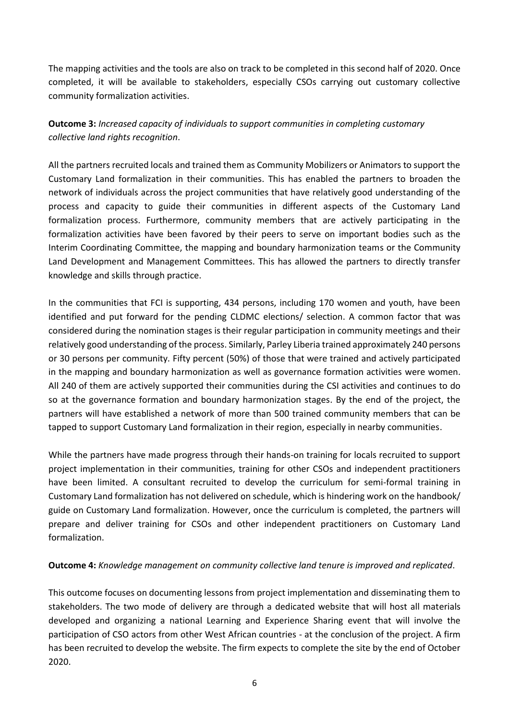The mapping activities and the tools are also on track to be completed in this second half of 2020. Once completed, it will be available to stakeholders, especially CSOs carrying out customary collective community formalization activities.

**Outcome 3:** *Increased capacity of individuals to support communities in completing customary collective land rights recognition*.

All the partners recruited locals and trained them as Community Mobilizers or Animators to support the Customary Land formalization in their communities. This has enabled the partners to broaden the network of individuals across the project communities that have relatively good understanding of the process and capacity to guide their communities in different aspects of the Customary Land formalization process. Furthermore, community members that are actively participating in the formalization activities have been favored by their peers to serve on important bodies such as the Interim Coordinating Committee, the mapping and boundary harmonization teams or the Community Land Development and Management Committees. This has allowed the partners to directly transfer knowledge and skills through practice.

In the communities that FCI is supporting, 434 persons, including 170 women and youth, have been identified and put forward for the pending CLDMC elections/ selection. A common factor that was considered during the nomination stages is their regular participation in community meetings and their relatively good understanding of the process. Similarly, Parley Liberia trained approximately 240 persons or 30 persons per community. Fifty percent (50%) of those that were trained and actively participated in the mapping and boundary harmonization as well as governance formation activities were women. All 240 of them are actively supported their communities during the CSI activities and continues to do so at the governance formation and boundary harmonization stages. By the end of the project, the partners will have established a network of more than 500 trained community members that can be tapped to support Customary Land formalization in their region, especially in nearby communities.

While the partners have made progress through their hands-on training for locals recruited to support project implementation in their communities, training for other CSOs and independent practitioners have been limited. A consultant recruited to develop the curriculum for semi-formal training in Customary Land formalization has not delivered on schedule, which is hindering work on the handbook/ guide on Customary Land formalization. However, once the curriculum is completed, the partners will prepare and deliver training for CSOs and other independent practitioners on Customary Land formalization.

#### **Outcome 4:** *Knowledge management on community collective land tenure is improved and replicated*.

This outcome focuses on documenting lessons from project implementation and disseminating them to stakeholders. The two mode of delivery are through a dedicated website that will host all materials developed and organizing a national Learning and Experience Sharing event that will involve the participation of CSO actors from other West African countries - at the conclusion of the project. A firm has been recruited to develop the website. The firm expects to complete the site by the end of October 2020.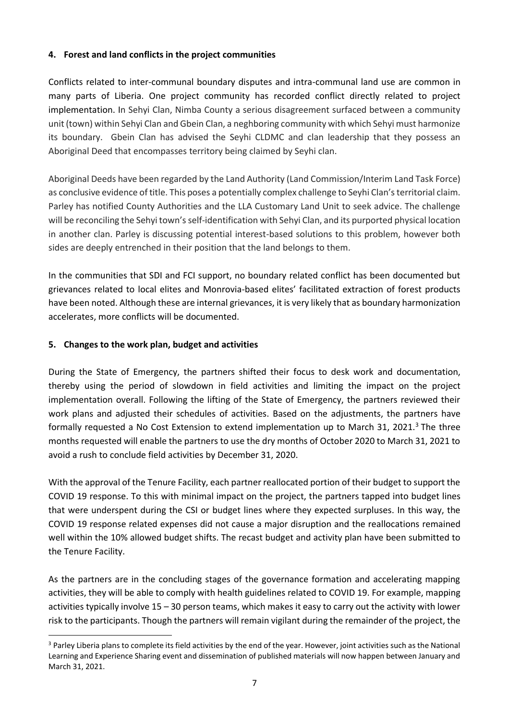# **4. Forest and land conflicts in the project communities**

Conflicts related to inter-communal boundary disputes and intra-communal land use are common in many parts of Liberia. One project community has recorded conflict directly related to project implementation. In Sehyi Clan, Nimba County a serious disagreement surfaced between a community unit (town) within Sehyi Clan and Gbein Clan, a neghboring community with which Sehyi must harmonize its boundary. Gbein Clan has advised the Seyhi CLDMC and clan leadership that they possess an Aboriginal Deed that encompasses territory being claimed by Seyhi clan.

Aboriginal Deeds have been regarded by the Land Authority (Land Commission/Interim Land Task Force) as conclusive evidence of title. This poses a potentially complex challenge to Seyhi Clan's territorial claim. Parley has notified County Authorities and the LLA Customary Land Unit to seek advice. The challenge will be reconciling the Sehyi town's self-identification with Sehyi Clan, and its purported physical location in another clan. Parley is discussing potential interest-based solutions to this problem, however both sides are deeply entrenched in their position that the land belongs to them.

In the communities that SDI and FCI support, no boundary related conflict has been documented but grievances related to local elites and Monrovia-based elites' facilitated extraction of forest products have been noted. Although these are internal grievances, it is very likely that as boundary harmonization accelerates, more conflicts will be documented.

## **5. Changes to the work plan, budget and activities**

 $\overline{a}$ 

During the State of Emergency, the partners shifted their focus to desk work and documentation, thereby using the period of slowdown in field activities and limiting the impact on the project implementation overall. Following the lifting of the State of Emergency, the partners reviewed their work plans and adjusted their schedules of activities. Based on the adjustments, the partners have formally requested a No Cost Extension to extend implementation up to March 31, 2021.<sup>3</sup> The three months requested will enable the partners to use the dry months of October 2020 to March 31, 2021 to avoid a rush to conclude field activities by December 31, 2020.

With the approval of the Tenure Facility, each partner reallocated portion of their budget to support the COVID 19 response. To this with minimal impact on the project, the partners tapped into budget lines that were underspent during the CSI or budget lines where they expected surpluses. In this way, the COVID 19 response related expenses did not cause a major disruption and the reallocations remained well within the 10% allowed budget shifts. The recast budget and activity plan have been submitted to the Tenure Facility.

As the partners are in the concluding stages of the governance formation and accelerating mapping activities, they will be able to comply with health guidelines related to COVID 19. For example, mapping activities typically involve 15 – 30 person teams, which makes it easy to carry out the activity with lower risk to the participants. Though the partners will remain vigilant during the remainder of the project, the

<sup>&</sup>lt;sup>3</sup> Parley Liberia plans to complete its field activities by the end of the year. However, joint activities such as the National Learning and Experience Sharing event and dissemination of published materials will now happen between January and March 31, 2021.